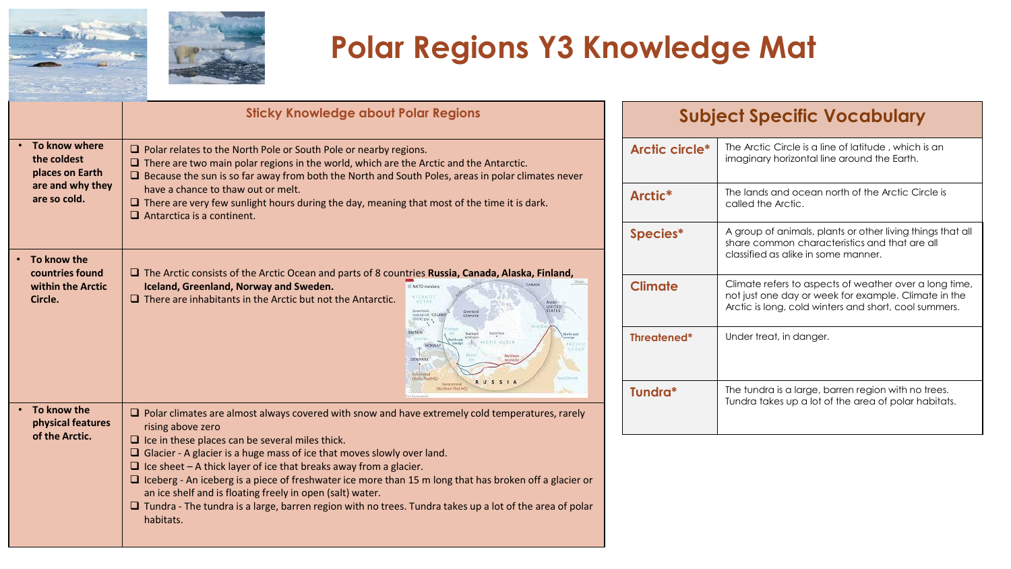

## **Polar Regions Y3 Knowledge Mat**

|                                                                                     | <b>Sticky Knowledge about Polar Regions</b>                                                                                                                                                                                                                                                                                                                                                                                                                                                                                                                                                                                                                     |  |
|-------------------------------------------------------------------------------------|-----------------------------------------------------------------------------------------------------------------------------------------------------------------------------------------------------------------------------------------------------------------------------------------------------------------------------------------------------------------------------------------------------------------------------------------------------------------------------------------------------------------------------------------------------------------------------------------------------------------------------------------------------------------|--|
| To know where<br>the coldest<br>places on Earth<br>are and why they<br>are so cold. | $\Box$ Polar relates to the North Pole or South Pole or nearby regions.<br>$\Box$ There are two main polar regions in the world, which are the Arctic and the Antarctic.<br>$\Box$ Because the sun is so far away from both the North and South Poles, areas in polar climates never<br>have a chance to thaw out or melt.<br>$\Box$ There are very few sunlight hours during the day, meaning that most of the time it is dark.<br>$\Box$ Antarctica is a continent.                                                                                                                                                                                           |  |
| To know the<br>countries found<br>within the Arctic<br>Circle.                      | $\Box$ The Arctic consists of the Arctic Ocean and parts of 8 countries Russia, Canada, Alaska, Finland,<br>Iceland, Greenland, Norway and Sweden.<br>NATO members<br>WILNETH<br>$\Box$ There are inhabitants in the Arctic but not the Antarctic.<br><b>DEFAN</b><br>Alanka<br>UNITED:<br><b>STATES</b><br>Crazyland<br>Greenland<br>Incland-UK ICELAND<br><b>GENNARY</b><br><b>GENUIDE A</b><br><b>IRITA'N</b><br>Nata Pele<br>Svalberg<br>North and<br>NORWAY<br>CTIC OCEAN<br>NORWAY<br>Korthea<br><b>DENHARK</b><br>Kalektonad<br>(Bidde Float HC<br><b>RUSSI</b><br>Severomotsk<br><b>Nartham Fleet HC</b><br>v Eusewin                                   |  |
| To know the<br>physical features<br>of the Arctic.                                  | $\Box$ Polar climates are almost always covered with snow and have extremely cold temperatures, rarely<br>rising above zero<br>$\Box$ Ice in these places can be several miles thick.<br>$\Box$ Glacier - A glacier is a huge mass of ice that moves slowly over land.<br>$\Box$ Ice sheet – A thick layer of ice that breaks away from a glacier.<br>$\Box$ Iceberg - An iceberg is a piece of freshwater ice more than 15 m long that has broken off a glacier or<br>an ice shelf and is floating freely in open (salt) water.<br>$\Box$ Tundra - The tundra is a large, barren region with no trees. Tundra takes up a lot of the area of polar<br>habitats. |  |

| <b>Subject Specific Vocabulary</b> |                                                                                                                                                                         |  |  |
|------------------------------------|-------------------------------------------------------------------------------------------------------------------------------------------------------------------------|--|--|
| Arctic circle*                     | The Arctic Circle is a line of latitude, which is an<br>imaginary horizontal line around the Earth.                                                                     |  |  |
| Arctic <sup>*</sup>                | The lands and ocean north of the Arctic Circle is<br>called the Arctic.                                                                                                 |  |  |
| Species*                           | A group of animals, plants or other living things that all<br>share common characteristics and that are all<br>classified as alike in some manner.                      |  |  |
| <b>Climate</b>                     | Climate refers to aspects of weather over a long time,<br>not just one day or week for example. Climate in the<br>Arctic is long, cold winters and short, cool summers. |  |  |
| Threatened*                        | Under treat, in danger.                                                                                                                                                 |  |  |
| Tundra*                            | The tundra is a large, barren region with no trees.<br>Tundra takes up a lot of the area of polar habitats.                                                             |  |  |